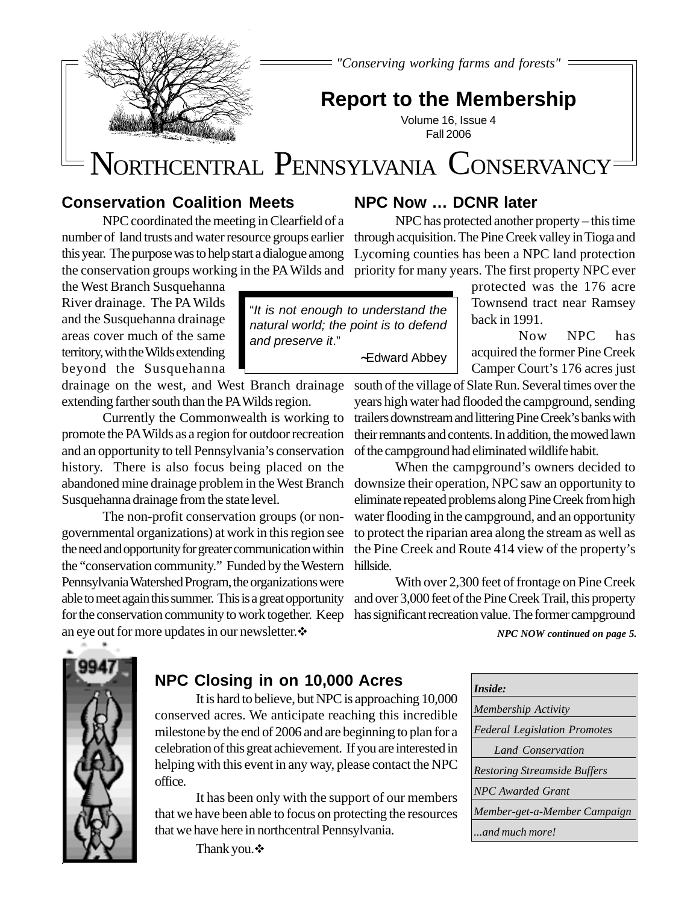

*"Conserving working farms and forests"*

# **Report to the Membership**

Volume 16, Issue 4 Fall 2006

# NORTHCENTRAL PENNSYLVANIA CONSERVANCY

"It is not enough to understand the natural world; the point is to defend

 **~**Edward Abbey

and preserve it."

# **Conservation Coalition Meets**

NPC coordinated the meeting in Clearfield of a number of land trusts and water resource groups earlier this year. The purpose was to help start a dialogue among the conservation groups working in the PA Wilds and priority for many years. The first property NPC ever

the West Branch Susquehanna River drainage. The PA Wilds and the Susquehanna drainage areas cover much of the same territory, with the Wilds extending beyond the Susquehanna

drainage on the west, and West Branch drainage extending farther south than the PA Wilds region.

Currently the Commonwealth is working to promote the PA Wilds as a region for outdoor recreation and an opportunity to tell Pennsylvania's conservation history. There is also focus being placed on the abandoned mine drainage problem in the West Branch downsize their operation, NPC saw an opportunity to Susquehanna drainage from the state level.

The non-profit conservation groups (or nongovernmental organizations) at work in this region see the need and opportunity for greater communication within the "conservation community." Funded by the Western Pennsylvania Watershed Program, the organizations were able to meet again this summer. This is a great opportunity for the conservation community to work together. Keep has significant recreation value. The former campground an eye out for more updates in our newsletter.

**NPC Now … DCNR later**

NPC has protected another property – this time through acquisition. The Pine Creek valley in Tioga and Lycoming counties has been a NPC land protection

> protected was the 176 acre Townsend tract near Ramsey back in 1991.

Now NPC has acquired the former Pine Creek Camper Court's 176 acres just

south of the village of Slate Run. Several times over the years high water had flooded the campground, sending trailers downstream and littering Pine Creek's banks with their remnants and contents. In addition, the mowed lawn of the campground had eliminated wildlife habit.

When the campground's owners decided to eliminate repeated problems along Pine Creek from high water flooding in the campground, and an opportunity to protect the riparian area along the stream as well as the Pine Creek and Route 414 view of the property's hillside.

With over 2,300 feet of frontage on Pine Creek and over 3,000 feet of the Pine Creek Trail, this property

*NPC NOW continued on page 5.*



# **NPC Closing in on 10,000 Acres**

It is hard to believe, but NPC is approaching 10,000 conserved acres. We anticipate reaching this incredible milestone by the end of 2006 and are beginning to plan for a celebration of this great achievement. If you are interested in helping with this event in any way, please contact the NPC office.

It has been only with the support of our members that we have been able to focus on protecting the resources that we have here in northcentral Pennsylvania.

Thank you. ❖

| Inside:                             |
|-------------------------------------|
| <b>Membership Activity</b>          |
| <b>Federal Legislation Promotes</b> |
| Land Conservation                   |
| <b>Restoring Streamside Buffers</b> |
| <b>NPC</b> Awarded Grant            |
| Member-get-a-Member Campaign        |
| and much more!                      |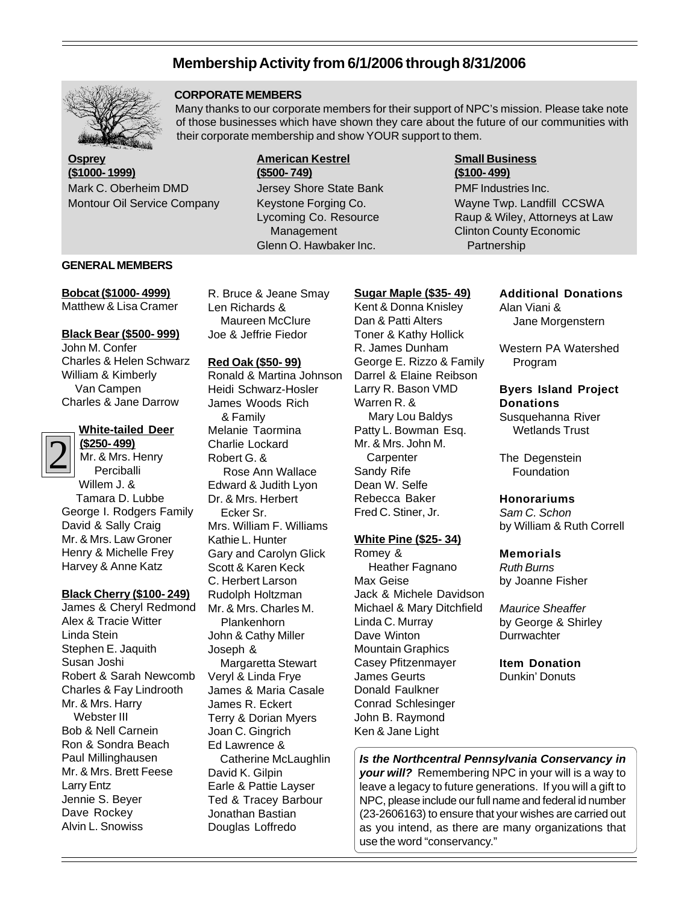## **Membership Activity from 6/1/2006 through 8/31/2006**



#### **CORPORATE MEMBERS**

Many thanks to our corporate members for their support of NPC's mission. Please take note of those businesses which have shown they care about the future of our communities with their corporate membership and show YOUR support to them.

**Osprey (\$1000- 1999)** Mark C. Oberheim DMD Montour Oil Service Company

#### **American Kestrel (\$500- 749)** Jersey Shore State Bank Keystone Forging Co. Lycoming Co. Resource Management Glenn O. Hawbaker Inc.

#### **Small Business (\$100- 499)** PMF Industries Inc. Wayne Twp. Landfill CCSWA Raup & Wiley, Attorneys at Law

Clinton County Economic

Partnership

#### **GENERAL MEMBERS**

**Bobcat (\$1000- 4999)** Matthew & Lisa Cramer

#### **Black Bear (\$500- 999)**

John M. Confer Charles & Helen Schwarz William & Kimberly Van Campen Charles & Jane Darrow

#### **White-tailed Deer**

2 **(\$250- 499)** Mr. & Mrs. Henry Perciballi Willem J. & Tamara D. Lubbe George I. Rodgers Family David & Sally Craig Mr. & Mrs. Law Groner Henry & Michelle Frey Harvey & Anne Katz

### **Black Cherry (\$100- 249)**

James & Cheryl Redmond Alex & Tracie Witter Linda Stein Stephen E. Jaquith Susan Joshi Robert & Sarah Newcomb Charles & Fay Lindrooth Mr. & Mrs. Harry Webster III Bob & Nell Carnein Ron & Sondra Beach Paul Millinghausen Mr. & Mrs. Brett Feese Larry Entz Jennie S. Beyer Dave Rockey Alvin L. Snowiss

R. Bruce & Jeane Smay Len Richards & Maureen McClure Joe & Jeffrie Fiedor

#### **Red Oak (\$50- 99)**

Ronald & Martina Johnson Heidi Schwarz-Hosler James Woods Rich & Family Melanie Taormina Charlie Lockard Robert G. & Rose Ann Wallace Edward & Judith Lyon Dr. & Mrs. Herbert Ecker Sr. Mrs. William F. Williams Kathie L. Hunter Gary and Carolyn Glick Scott & Karen Keck C. Herbert Larson Rudolph Holtzman Mr. & Mrs. Charles M. Plankenhorn John & Cathy Miller Joseph & Margaretta Stewart Veryl & Linda Frye James & Maria Casale James R. Eckert Terry & Dorian Myers Joan C. Gingrich Ed Lawrence & Catherine McLaughlin David K. Gilpin Earle & Pattie Layser Ted & Tracey Barbour Jonathan Bastian Douglas Loffredo

Kent & Donna Knisley Dan & Patti Alters Toner & Kathy Hollick R. James Dunham George E. Rizzo & Family Darrel & Elaine Reibson Larry R. Bason VMD Warren R. & Mary Lou Baldys Patty L. Bowman Esq. Mr. & Mrs. John M. **Carpenter** Sandy Rife Dean W. Selfe Rebecca Baker Fred C. Stiner, Jr.

**Sugar Maple (\$35- 49)**

#### **White Pine (\$25- 34)**

Romey & Heather Fagnano Max Geise Jack & Michele Davidson Michael & Mary Ditchfield Linda C. Murray Dave Winton Mountain Graphics Casey Pfitzenmayer James Geurts Donald Faulkner Conrad Schlesinger John B. Raymond Ken & Jane Light

#### **Additional Donations** Alan Viani &

Jane Morgenstern

Western PA Watershed Program

### **Byers Island Project Donations**

Susquehanna River Wetlands Trust

The Degenstein **Foundation** 

#### **Honorariums**

Sam C. Schon by William & Ruth Correll

#### **Memorials**

Ruth Burns by Joanne Fisher

Maurice Sheaffer by George & Shirley **Durrwachter** 

#### **Item Donation**

Dunkin' Donuts

**Is the Northcentral Pennsylvania Conservancy in your will?** Remembering NPC in your will is a way to leave a legacy to future generations. If you will a gift to NPC, please include our full name and federal id number (23-2606163) to ensure that your wishes are carried out as you intend, as there are many organizations that use the word "conservancy."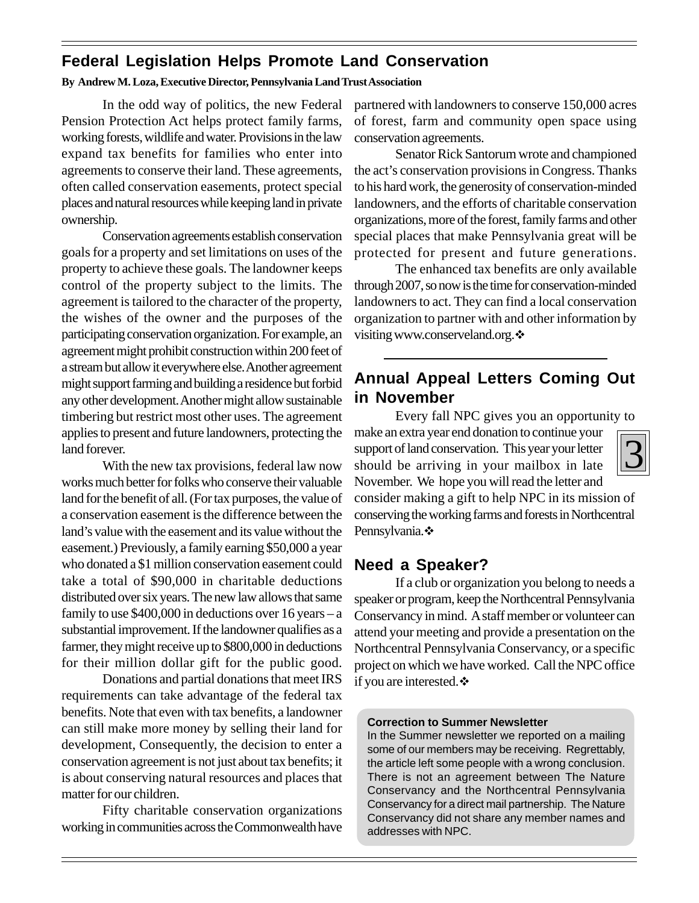# **Federal Legislation Helps Promote Land Conservation**

### **By Andrew M. Loza, Executive Director, Pennsylvania Land Trust Association**

In the odd way of politics, the new Federal Pension Protection Act helps protect family farms, working forests, wildlife and water. Provisions in the law expand tax benefits for families who enter into agreements to conserve their land. These agreements, often called conservation easements, protect special places and natural resources while keeping land in private ownership.

 Conservation agreements establish conservation goals for a property and set limitations on uses of the property to achieve these goals. The landowner keeps control of the property subject to the limits. The agreement is tailored to the character of the property, the wishes of the owner and the purposes of the participating conservation organization. For example, an agreement might prohibit construction within 200 feet of a stream but allow it everywhere else. Another agreement might support farming and building a residence but forbid any other development. Another might allow sustainable timbering but restrict most other uses. The agreement applies to present and future landowners, protecting the land forever.

With the new tax provisions, federal law now works much better for folks who conserve their valuable land for the benefit of all. (For tax purposes, the value of a conservation easement is the difference between the land's value with the easement and its value without the easement.) Previously, a family earning \$50,000 a year who donated a \$1 million conservation easement could take a total of \$90,000 in charitable deductions distributed over six years. The new law allows that same family to use  $$400,000$  in deductions over 16 years – a substantial improvement. If the landowner qualifies as a farmer, they might receive up to \$800,000 in deductions for their million dollar gift for the public good.

Donations and partial donations that meet IRS requirements can take advantage of the federal tax benefits. Note that even with tax benefits, a landowner can still make more money by selling their land for development, Consequently, the decision to enter a conservation agreement is not just about tax benefits; it is about conserving natural resources and places that matter for our children.

Fifty charitable conservation organizations working in communities across the Commonwealth have partnered with landowners to conserve 150,000 acres of forest, farm and community open space using conservation agreements.

Senator Rick Santorum wrote and championed the act's conservation provisions in Congress. Thanks to his hard work, the generosity of conservation-minded landowners, and the efforts of charitable conservation organizations, more of the forest, family farms and other special places that make Pennsylvania great will be protected for present and future generations.

The enhanced tax benefits are only available through 2007, so now is the time for conservation-minded landowners to act. They can find a local conservation organization to partner with and other information by visiting www.conserveland.org. ❖

# **Annual Appeal Letters Coming Out in November**

Every fall NPC gives you an opportunity to

make an extra year end donation to continue your support of land conservation. This year your letter should be arriving in your mailbox in late November. We hope you will read the letter and

3

consider making a gift to help NPC in its mission of conserving the working farms and forests in Northcentral Pennsylvania.

# **Need a Speaker?**

If a club or organization you belong to needs a speaker or program, keep the Northcentral Pennsylvania Conservancy in mind. A staff member or volunteer can attend your meeting and provide a presentation on the Northcentral Pennsylvania Conservancy, or a specific project on which we have worked. Call the NPC office if you are interested.  $\div$ 

### **Correction to Summer Newsletter**

In the Summer newsletter we reported on a mailing some of our members may be receiving. Regrettably, the article left some people with a wrong conclusion. There is not an agreement between The Nature Conservancy and the Northcentral Pennsylvania Conservancy for a direct mail partnership. The Nature Conservancy did not share any member names and addresses with NPC.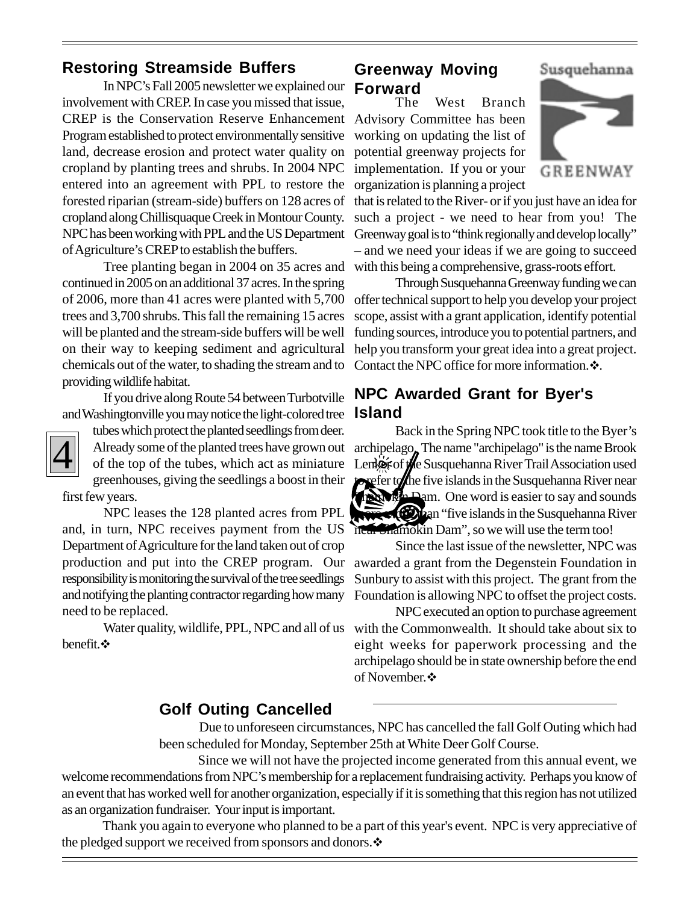# **Restoring Streamside Buffers**

In NPC's Fall 2005 newsletter we explained our **Forward**involvement with CREP. In case you missed that issue, CREP is the Conservation Reserve Enhancement Advisory Committee has been Program established to protect environmentally sensitive land, decrease erosion and protect water quality on cropland by planting trees and shrubs. In 2004 NPC entered into an agreement with PPL to restore the organization is planning a project forested riparian (stream-side) buffers on 128 acres of cropland along Chillisquaque Creek in Montour County. of Agriculture's CREP to establish the buffers.

Tree planting began in 2004 on 35 acres and continued in 2005 on an additional 37 acres. In the spring of 2006, more than 41 acres were planted with 5,700 trees and 3,700 shrubs. This fall the remaining 15 acres will be planted and the stream-side buffers will be well on their way to keeping sediment and agricultural chemicals out of the water, to shading the stream and to Contact the NPC office for more information.  $\ddot{\cdot}$ . providing wildlife habitat.

If you drive along Route 54 between Turbotville and Washingtonville you may notice the light-colored tree



tubes which protect the planted seedlings from deer. of the top of the tubes, which act as miniature greenhouses, giving the seedlings a boost in their first few years.

NPC leases the 128 planted acres from PPL and, in turn, NPC receives payment from the US Department of Agriculture for the land taken out of crop responsibility is monitoring the survival of the tree seedlings and notifying the planting contractor regarding how many need to be replaced.

benefit. ❖

# **Greenway Moving**

The West Branch working on updating the list of potential greenway projects for implementation. If you or your



Susquehanna

NPC has been working with PPL and the US Department Greenway goal is to "think regionally and develop locally" that is related to the River- or if you just have an idea for such a project - we need to hear from you! The – and we need your ideas if we are going to succeed with this being a comprehensive, grass-roots effort.

> Through Susquehanna Greenway funding we can offer technical support to help you develop your project scope, assist with a grant application, identify potential funding sources, introduce you to potential partners, and help you transform your great idea into a great project.

# **NPC Awarded Grant for Byer's Island**

Back in the Spring NPC took title to the Byer's Already some of the planted trees have grown out archipelago. The name "archipelago" is the name Brook Lenker of the Susquehanna River Trail Association used to refer to the five islands in the Susquehanna River near Shamokin Dam. One word is easier to say and sounds **fi**ction "five islands in the Susquehanna River near Shamokin Dam", so we will use the term too!

Since the last issue of the newsletter, NPC was production and put into the CREP program. Our awarded a grant from the Degenstein Foundation in Sunbury to assist with this project. The grant from the Foundation is allowing NPC to offset the project costs.

NPC executed an option to purchase agreement Water quality, wildlife, PPL, NPC and all of us with the Commonwealth. It should take about six to eight weeks for paperwork processing and the archipelago should be in state ownership before the end of November.

### **Golf Outing Cancelled**

 Due to unforeseen circumstances, NPC has cancelled the fall Golf Outing which had been scheduled for Monday, September 25th at White Deer Golf Course.

 Since we will not have the projected income generated from this annual event, we welcome recommendations from NPC's membership for a replacement fundraising activity. Perhaps you know of an event that has worked well for another organization, especially if it is something that this region has not utilized as an organization fundraiser. Your input is important.

Thank you again to everyone who planned to be a part of this year's event. NPC is very appreciative of the pledged support we received from sponsors and donors.  $\mathbf{\hat{*}}$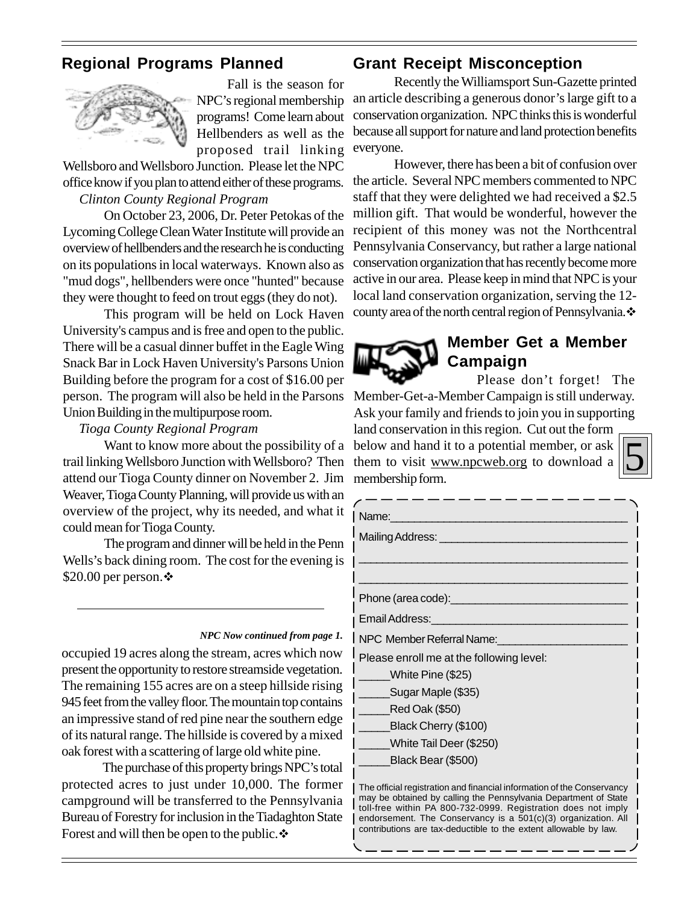# **Regional Programs Planned**



Fall is the season for NPC's regional membership programs! Come learn about Hellbenders as well as the proposed trail linking

Wellsboro and Wellsboro Junction. Please let the NPC office know if you plan to attend either of these programs.

### *Clinton County Regional Program*

On October 23, 2006, Dr. Peter Petokas of the Lycoming College Clean Water Institute will provide an overview of hellbenders and the research he is conducting on its populations in local waterways. Known also as "mud dogs", hellbenders were once "hunted" because they were thought to feed on trout eggs (they do not).

This program will be held on Lock Haven University's campus and is free and open to the public. There will be a casual dinner buffet in the Eagle Wing Snack Bar in Lock Haven University's Parsons Union Building before the program for a cost of \$16.00 per person. The program will also be held in the Parsons Union Building in the multipurpose room.

#### *Tioga County Regional Program*

Want to know more about the possibility of a trail linking Wellsboro Junction with Wellsboro? Then attend our Tioga County dinner on November 2. Jim Weaver, Tioga County Planning, will provide us with an overview of the project, why its needed, and what it could mean for Tioga County.

The program and dinner will be held in the Penn Wells's back dining room. The cost for the evening is \$20.00 per person.  $\mathbf{\hat{P}}$ 

#### *NPC Now continued from page 1.*

occupied 19 acres along the stream, acres which now present the opportunity to restore streamside vegetation. The remaining 155 acres are on a steep hillside rising 945 feet from the valley floor. The mountain top contains an impressive stand of red pine near the southern edge of its natural range. The hillside is covered by a mixed oak forest with a scattering of large old white pine.

The purchase of this property brings NPC's total protected acres to just under 10,000. The former campground will be transferred to the Pennsylvania Bureau of Forestry for inclusion in the Tiadaghton State Forest and will then be open to the public. ❖

## **Grant Receipt Misconception**

Recently the Williamsport Sun-Gazette printed an article describing a generous donor's large gift to a conservation organization. NPC thinks this is wonderful because all support for nature and land protection benefits everyone.

However, there has been a bit of confusion over the article. Several NPC members commented to NPC staff that they were delighted we had received a \$2.5 million gift. That would be wonderful, however the recipient of this money was not the Northcentral Pennsylvania Conservancy, but rather a large national conservation organization that has recently become more active in our area. Please keep in mind that NPC is your local land conservation organization, serving the 12 county area of the north central region of Pennsylvania.



# **Member Get a Member Campaign**

Please don't forget! The Member-Get-a-Member Campaign is still underway.

Ask your family and friends to join you in supporting land conservation in this region. Cut out the form below and hand it to a potential member, or ask them to visit www.npcweb.org to download a membership form.



| Name:                                                  |  |  |
|--------------------------------------------------------|--|--|
| Mailing Address: <u>_____________________________</u>  |  |  |
|                                                        |  |  |
|                                                        |  |  |
| Phone (area code):____________________________         |  |  |
| Email Address: <u>________________________________</u> |  |  |
| NPC Member Referral Name:                              |  |  |
| Please enroll me at the following level:               |  |  |
| White Pine (\$25)                                      |  |  |
| Sugar Maple (\$35)                                     |  |  |
| Red Oak (\$50)                                         |  |  |
| Black Cherry (\$100)                                   |  |  |
| White Tail Deer (\$250)                                |  |  |
| Black Bear (\$500)                                     |  |  |

The official registration and financial information of the Conservancy may be obtained by calling the Pennsylvania Department of State toll-free within PA 800-732-0999. Registration does not imply endorsement. The Conservancy is a 501(c)(3) organization. All contributions are tax-deductible to the extent allowable by law.